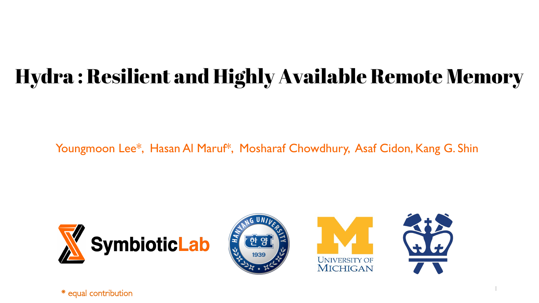#### Hydra : Resilient and Highly Available Remote Memory

Youngmoon Lee\*, Hasan Al Maruf\*, Mosharaf Chowdhury, Asaf Cidon, Kang G. Shin







1

\* equal contribution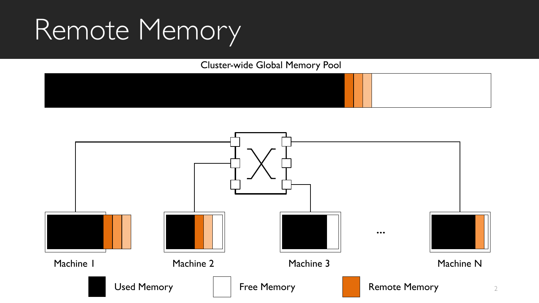# Remote Memory

Cluster-wide Global Memory Pool



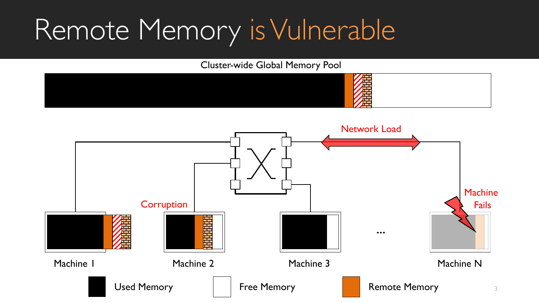# Remote Memory is Vulnerable

Cluster-wide Global Memory Pool



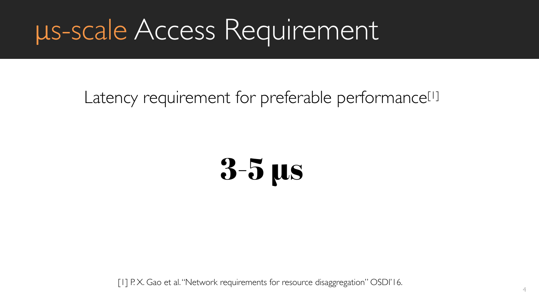## μs-scale Access Requirement

#### Latency requirement for preferable performance<sup>[1]</sup>

# 3-5 µs

[1] P.X. Gao et al. "Network requirements for resource disaggregation" OSDI'16.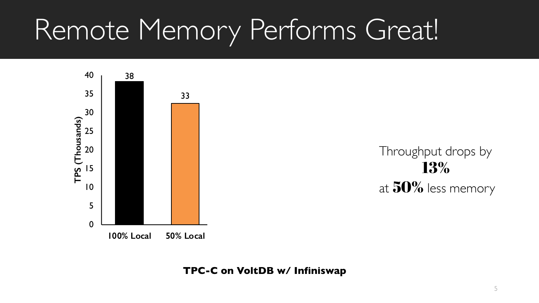# Remote Memory Performs Great!



Throughput drops by 13% at  $50\%$  less memory

**TPC-C on VoltDB w/ Infiniswap**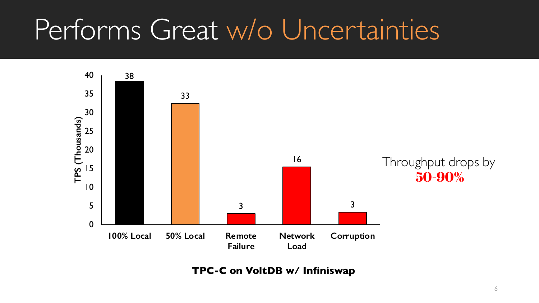# Performs Great w/o Uncertainties



**TPC-C on VoltDB w/ Infiniswap**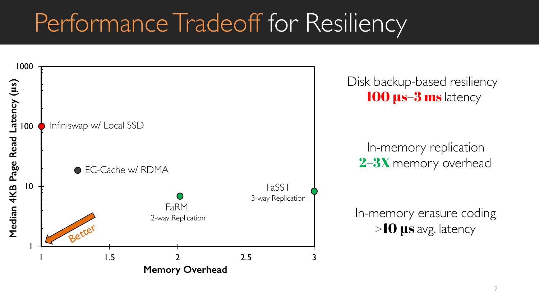### Performance Tradeoff for Resiliency



Disk backup-based resiliency 100 **us-3 ms** latency

In-memory replication 2-3X memory overhead

In-memory erasure coding >10 µs avg. latency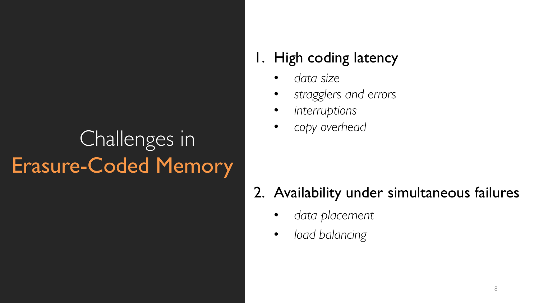#### Challenges in Erasure-Coded Memory

#### 1. High coding latency

- *data size*
- *stragglers and errors*
- *interruptions*
- *copy overhead*

#### 2. Availability under simultaneous failures

- *data placement*
- *load balancing*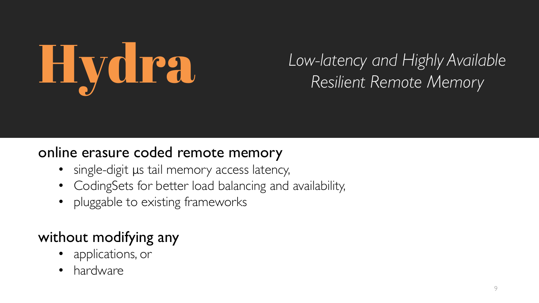

# **Hydra** *Low-latency and Highly Available Resilient Remote Memory*

#### online erasure coded remote memory

- single-digit μs tail memory access latency,
- CodingSets for better load balancing and availability,
- pluggable to existing frameworks

#### without modifying any

- applications, or
- hardware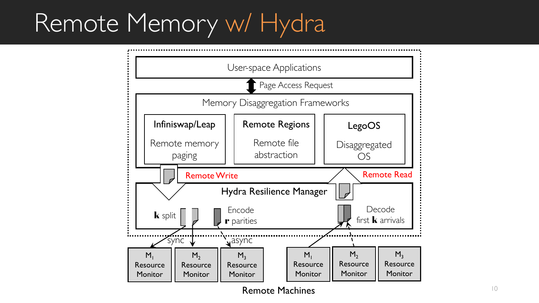### Remote Memory w/ Hydra



Remote Machines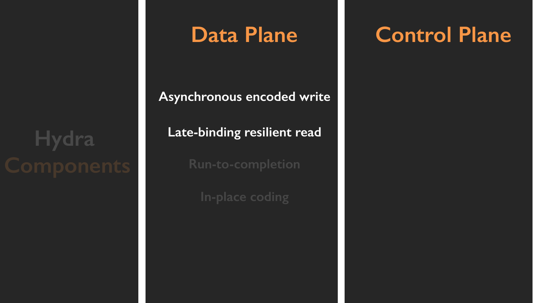# **Hydra**

#### **Data Plane**

**Asynchronous encoded write**

**Late-binding resilient read**

**Run-to-completion**

**In-place coding**

#### **Control Plane**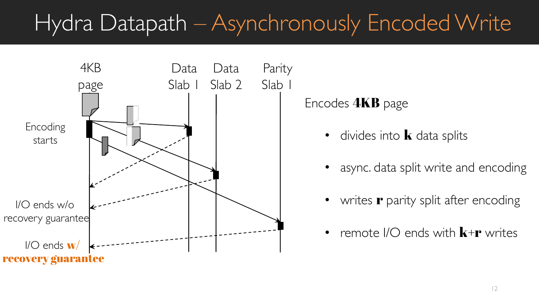#### Hydra Datapath – Asynchronously Encoded Write



Encodes 4KB page

- divides into  $\bf{k}$  data splits
- async. data split write and encoding
- writes **r** parity split after encoding
- remote  $\textsf{IO}$  ends with  $\textbf{k}+\textbf{r}$  writes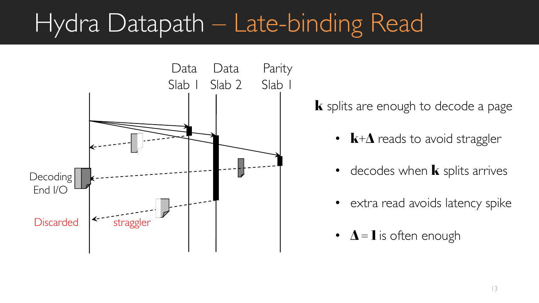### Hydra Datapath – Late-binding Read



 $k$  splits are enough to decode a page

- $\mathbf{k}+\mathbf{\Lambda}$  reads to avoid straggler
- decodes when  $\bf k$  splits arrives
- extra read avoids latency spike
- $\Delta = 1$  is often enough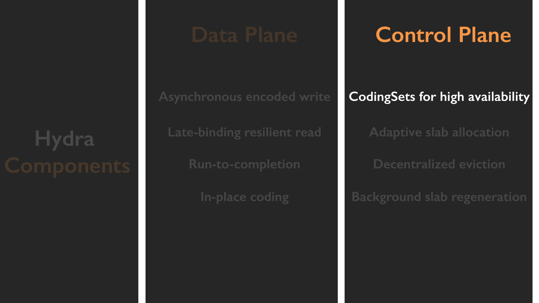# **Hydra**

**Asynchronous encoded write Late-binding resilient read Run-to-completion**

**In-place coding**

#### **Control Plane**

#### **CodingSets for high availability**

**Adaptive slab allocation**

**Decentralized eviction**

**Background slab regeneration**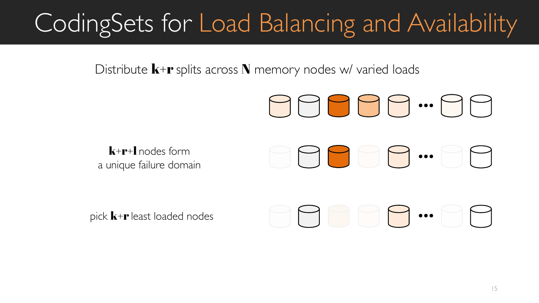## CodingSets for Load Balancing and Availability

Distribute  $\mathbf{k}+\mathbf{r}$  splits across N memory nodes w/ varied loads



pick  $\mathbf{k}+\mathbf{r}$  least loaded nodes

# …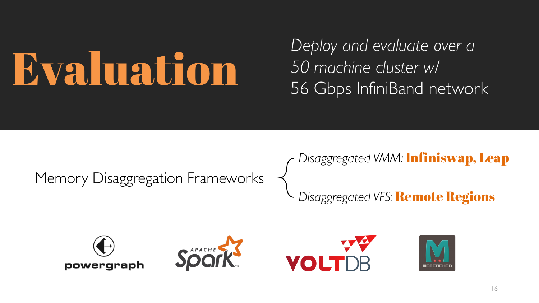# Evaluation

*Deploy and evaluate over a 50-machine cluster w/* 56 Gbps InfiniBand network

Memory Disaggregation Frameworks

*Disaggregated VMM:* Infiniswap, Leap

*Disaggregated VFS:* Remote Regions







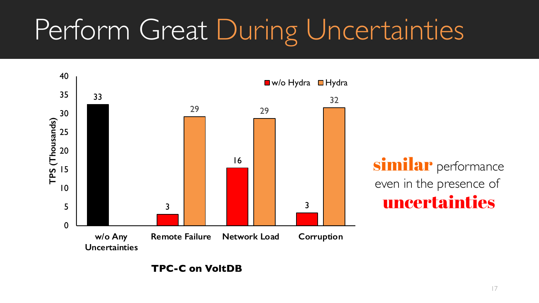# Perform Great During Uncertainties



**TPC-C on VoltDB**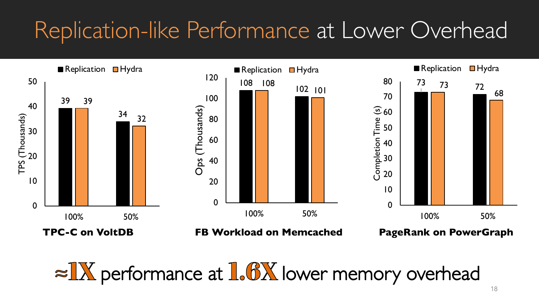#### Replication-like Performance at Lower Overhead



 $\approx 1$ X performance at  $1.6$ X lower memory overhead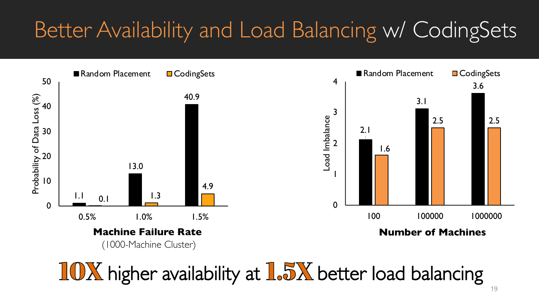#### Better Availability and Load Balancing w/ CodingSets



10X higher availability at 1.5X better load balancing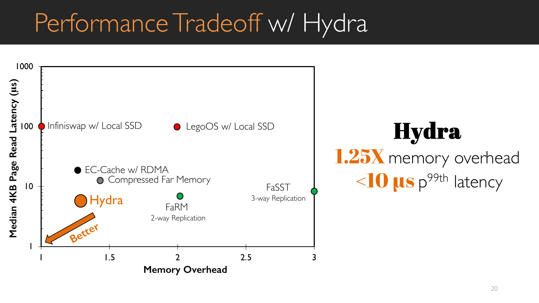### Performance Tradeoff w/ Hydra